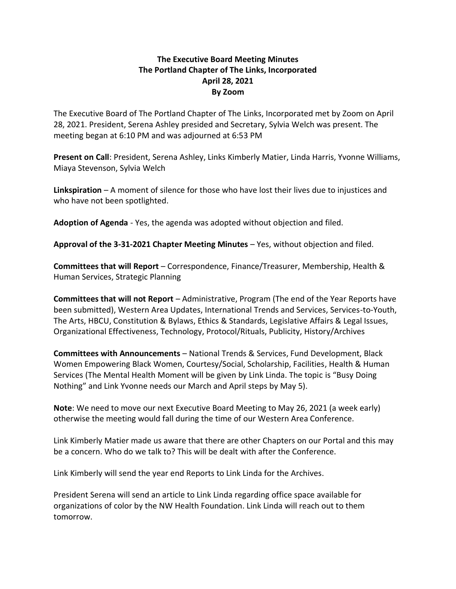## **The Executive Board Meeting Minutes The Portland Chapter of The Links, Incorporated April 28, 2021 By Zoom**

The Executive Board of The Portland Chapter of The Links, Incorporated met by Zoom on April 28, 2021. President, Serena Ashley presided and Secretary, Sylvia Welch was present. The meeting began at 6:10 PM and was adjourned at 6:53 PM

**Present on Call**: President, Serena Ashley, Links Kimberly Matier, Linda Harris, Yvonne Williams, Miaya Stevenson, Sylvia Welch

**Linkspiration** – A moment of silence for those who have lost their lives due to injustices and who have not been spotlighted.

**Adoption of Agenda** - Yes, the agenda was adopted without objection and filed.

**Approval of the 3-31-2021 Chapter Meeting Minutes** – Yes, without objection and filed.

**Committees that will Report** – Correspondence, Finance/Treasurer, Membership, Health & Human Services, Strategic Planning

**Committees that will not Report** – Administrative, Program (The end of the Year Reports have been submitted), Western Area Updates, International Trends and Services, Services-to-Youth, The Arts, HBCU, Constitution & Bylaws, Ethics & Standards, Legislative Affairs & Legal Issues, Organizational Effectiveness, Technology, Protocol/Rituals, Publicity, History/Archives

**Committees with Announcements** – National Trends & Services, Fund Development, Black Women Empowering Black Women, Courtesy/Social, Scholarship, Facilities, Health & Human Services (The Mental Health Moment will be given by Link Linda. The topic is "Busy Doing Nothing" and Link Yvonne needs our March and April steps by May 5).

**Note**: We need to move our next Executive Board Meeting to May 26, 2021 (a week early) otherwise the meeting would fall during the time of our Western Area Conference.

Link Kimberly Matier made us aware that there are other Chapters on our Portal and this may be a concern. Who do we talk to? This will be dealt with after the Conference.

Link Kimberly will send the year end Reports to Link Linda for the Archives.

President Serena will send an article to Link Linda regarding office space available for organizations of color by the NW Health Foundation. Link Linda will reach out to them tomorrow.